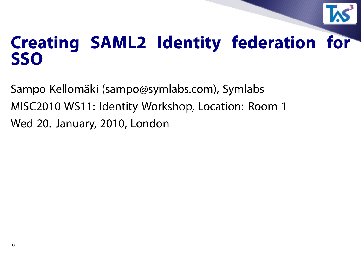

## **Creating SAML2 Identity federation for SSO**

Sampo Kellomäki (sampo@symlabs.com), Symlabs MISC2010 WS11: Identity Workshop, Location: Room 1 Wed 20. January, 2010, London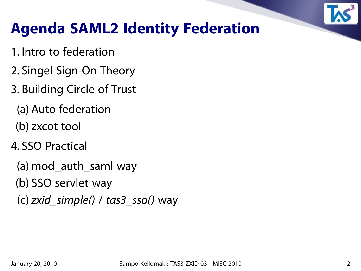

## **Agenda SAML2 Identity Federation**

- 1. Intro to federation
- 2. Singel Sign-On Theory
- 3. Building Circle of Trust
	- (a) Auto federation
	- (b) zxcot tool
- 4. SSO Practical
	- (a) mod\_auth\_saml way
	- (b) SSO servlet way
	- (c) zxid\_simple() / tas $3$ \_sso() way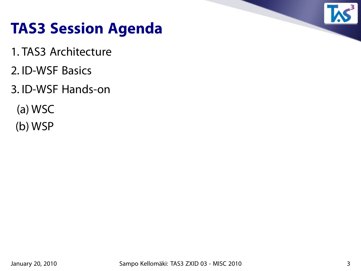

#### **TAS3 Session Agenda**

- 1. TAS3 Architecture
- 2. ID-WSF Basics
- 3. ID-WSF Hands-on
	- (a) WSC
	- (b) WSP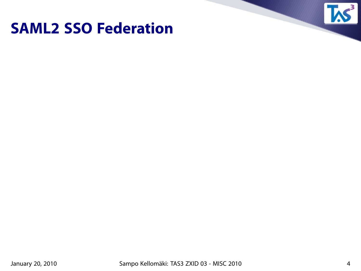#### **SAML2 SSO Federation**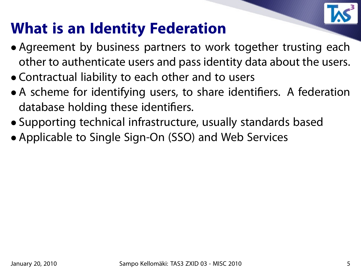

## **What is an Identity Federation**

- Agreement by business partners to work together trusting each other to authenticate users and pass identity data about the users.
- Contractual liability to each other and to users
- A scheme for identifying users, to share identifiers. A federation database holding these identifiers.
- Supporting technical infrastructure, usually standards based
- Applicable to Single Sign-On (SSO) and Web Services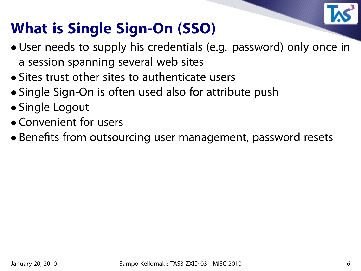

# **What is Single Sign-On (SSO)**

- User needs to supply his credentials (e.g. password) only once in a session spanning several web sites
- Sites trust other sites to authenticate users
- Single Sign-On is often used also for attribute push
- Single Logout
- Convenient for users
- Benefits from outsourcing user management, password resets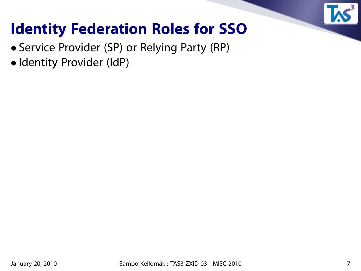

## **Identity Federation Roles for SSO**

- Service Provider (SP) or Relying Party (RP)
- Identity Provider (IdP)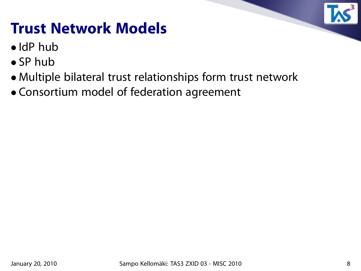## **Trust Network Models**

- IdP hub
- SP hub
- Multiple bilateral trust relationships form trust network
- Consortium model of federation agreement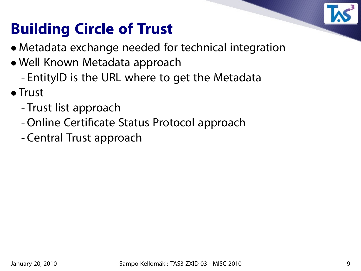

# **Building Circle of Trust**

- Metadata exchange needed for technical integration
- Well Known Metadata approach - EntityID is the URL where to get the Metadata
- Trust
	- Trust list approach
	- Online Certificate Status Protocol approach
	- Central Trust approach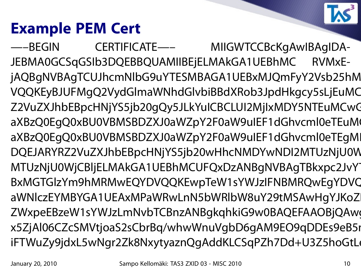# **Example PEM Cert**

—–BEGIN CERTIFICATE—– MIIGWTCCBcKgAwIBAgIDA-JEBMA0GCSqGSIb3DQEBBQUAMIIBEjELMAkGA1UEBhMC RVMxEjAQBgNVBAgTCUJhcmNlbG9uYTESMBAGA1UEBxMJQmFyY2Vsb25hM VQQKEyBJUFMgQ2VydGlmaWNhdGlvbiBBdXRob3JpdHkgcy5sLjEuMC Z2VuZXJhbEBpcHNjYS5jb20gQy5JLkYuICBCLUI2MjIxMDY5NTEuMCwC aXBzQ0EgQ0xBU0VBMSBDZXJ0aWZpY2F0aW9uIEF1dGhvcml0eTEuM aXBzQ0EgQ0xBU0VBMSBDZXJ0aWZpY2F0aW9uIEF1dGhvcml0eTEgMI DQEJARYRZ2VuZXJhbEBpcHNjYS5jb20wHhcNMDYwNDI2MTUzNjU0W MTUzNjU0WjCBljELMAkGA1UEBhMCUFQxDzANBgNVBAgTBkxpc2JvY BxMGTGIzYm9hMRMwEQYDVQQKEwpTeW1sYWJzIFNBMRQwEgYDVC aWNlczEYMBYGA1UEAxMPaWRwLnN5bWRlbW8uY29tMSAwHgYJKoZ ZWxpeEBzeW1sYWJzLmNvbTCBnzANBgkqhkiG9w0BAQEFAAOBjQAw x5ZjAl06CZcSMVtjoaS2sCbrBq/whwWnuVgbD6gAM9EO9qDDEs9eB5i iFTWuZy9jdxL5wNgr2Zk8NxytyaznQgAddKLCSqPZh7Dd+U3Z5hoGtLo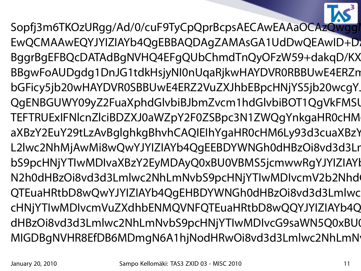

Sopfj3m6TKOzURgg/Ad/0/cuF9TyCpQprBcpsAECAwEAAaOCAzQwgg EwQCMAAwEQYJYIZIAYb4QgEBBAQDAgZAMAsGA1UdDwQEAwID+D1 BggrBgEFBQcDATAdBgNVHQ4EFgQUbChmdTnQyOFzW59+dakqD/KX BBgwFoAUDgdg1DnJG1tdkHsjyNI0nUqaRjkwHAYDVR0RBBUwE4ERZn bGFicy5jb20wHAYDVR0SBBUwE4ERZ2VuZXJhbEBpcHNjYS5jb20wcqY. QgENBGUWY09yZ2FuaXphdGlvbiBJbmZvcm1hdGlvbiBOT1QqVkFMSl TEFTRUExIFNlcnZlciBDZXJ0aWZpY2F0ZSBpc3N1ZWQqYnkgaHR0cHM aXBzY2EuY29tLzAvBglghkgBhvhCAQIEIhYgaHR0cHM6Ly93d3cuaXBzY L2lwc2NhMjAwMi8wQwYJYIZIAYb4QgEEBDYWNGh0dHBzOi8vd3d3Lr bS9pcHNjYTIwMDIvaXBzY2EyMDAyQ0xBU0VBMS5jcmwwRgYJYIZIAYl N2h0dHBzOi8vd3d3Lmlwc2NhLmNvbS9pcHNjYTIwMDIvcmV2b2Nhd QTEuaHRtbD8wQwYJYIZIAYb4QqEHBDYWNGh0dHBzOi8vd3d3Lmlwc cHNjYTIwMDIvcmVuZXdhbENMQVNFQTEuaHRtbD8wQQYJYIZIAYb4Q dHBzOi8vd3d3Lmlwc2NhLmNvbS9pcHNjYTIwMDIvcG9saWN5Q0xBU0 MIGDBgNVHR8EfDB6MDmgN6A1hjNodHRwOi8vd3d3Lmlwc2NhLmN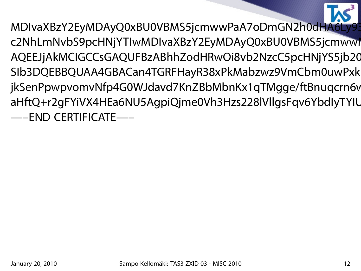MDIvaXBzY2EyMDAyQ0xBU0VBMS5jcmwwPaA7oDmGN2h0dHA6Ly93 c2NhLmNvbS9pcHNjYTIwMDIvaXBzY2EyMDAyQ0xBU0VBMS5jcmwwI AQEEJjAkMCIGCCsGAQUFBzABhhZodHRwOi8vb2NzcC5pcHNjYS5jb20 SIb3DQEBBQUAA4GBACan4TGRFHayR38xPkMabzwz9VmCbm0uwPxk jkSenPpwpvomvNfp4G0WJdavd7KnZBbMbnKx1qTMgge/ftBnuqcrn6v aHftQ+r2gFYiVX4HEa6NU5AgpiQjme0Vh3Hzs228lVllgsFqv6YbdlyTYIU —–END CERTIFICATE—–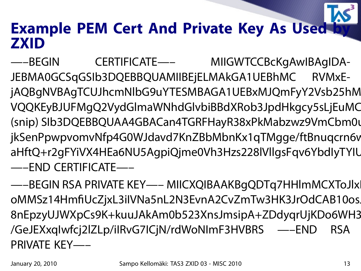#### **Example PEM Cert And Private Key As Used by ZXID**

—–BEGIN CERTIFICATE—– MIIGWTCCBcKgAwIBAgIDA-JEBMA0GCSqGSIb3DQEBBQUAMIIBEjELMAkGA1UEBhMC RVMxEjAQBgNVBAgTCUJhcmNlbG9uYTESMBAGA1UEBxMJQmFyY2Vsb25hM VQQKEyBJUFMgQ2VydGlmaWNhdGlvbiBBdXRob3JpdHkgcy5sLjEuMC (snip) SIb3DQEBBQUAA4GBACan4TGRFHayR38xPkMabzwz9VmCbm0u jkSenPpwpvomvNfp4G0WJdavd7KnZBbMbnKx1qTMgge/ftBnuqcrn6v aHftQ+r2gFYiVX4HEa6NU5AgpiQjme0Vh3Hzs228lVllgsFqv6YbdlyTYIU —–END CERTIFICATE—–

—–BEGIN RSA PRIVATE KEY—– MIICXQIBAAKBqQDTq7HHlmMCXToJlx oMMSz14HmfiUcZjxL3iIVNa5nL2N3EvnA2CvZmTw3HK3JrOdCAB10os. 8nEpzyUJWXpCs9K+kuuJAkAm0b523XnsJmsipA+ZDdyqrUjKDo6WH3 /GeJEXxqIwfcj2lZLp/iIRvG7ICjN/rdWoNImF3HVBRS —–END RSA PRIVATE KEY—–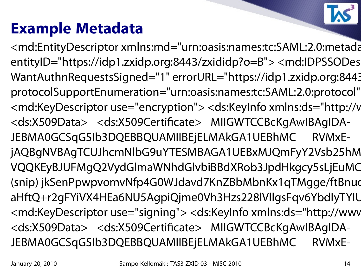#### **Example Metadata**

<md:EntityDescriptor xmlns:md="urn:oasis:names:tc:SAML:2.0:metada entityID="https://idp1.zxidp.org:8443/zxididp?o=B"> <md:IDPSSODes WantAuthnRequestsSigned="1" errorURL="https://idp1.zxidp.org:8443 protocolSupportEnumeration="urn:oasis:names:tc:SAML:2.0:protocol" <md:KeyDescriptor use="encryption"> <ds:KeyInfo xmlns:ds="http://v <ds:X509Data> <ds:X509Certificate> MIIGWTCCBcKgAwIBAgIDA-JEBMA0GCSqGSIb3DQEBBQUAMIIBEjELMAkGA1UEBhMC RVMxEjAQBgNVBAgTCUJhcmNlbG9uYTESMBAGA1UEBxMJQmFyY2Vsb25hM VQQKEyBJUFMgQ2VydGlmaWNhdGlvbiBBdXRob3JpdHkgcy5sLjEuMC (snip) jkSenPpwpvomvNfp4G0WJdavd7KnZBbMbnKx1qTMgge/ftBnud aHftQ+r2gFYiVX4HEa6NU5AgpiQjme0Vh3Hzs228lVllgsFqv6YbdIyTYIU <md:KeyDescriptor use="signing"> <ds:KeyInfo xmlns:ds="http://www <ds:X509Data> <ds:X509Certificate> MIIGWTCCBcKgAwIBAgIDA-JEBMA0GCSqGSIb3DQEBBQUAMIIBEjELMAkGA1UEBhMC RVMxE-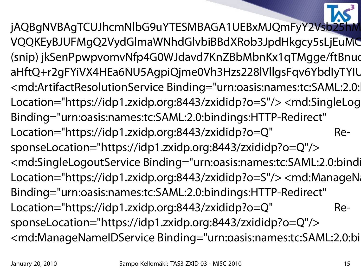jAQBgNVBAgTCUJhcmNlbG9uYTESMBAGA1UEBxMJQmFyY2Vsb25 VQQKEyBJUFMgQ2VydGlmaWNhdGlvbiBBdXRob3JpdHkgcy5sLjEuMC (snip) jkSenPpwpvomvNfp4G0WJdavd7KnZBbMbnKx1qTMgge/ftBnud aHftQ+r2gFYiVX4HEa6NU5AgpiQjme0Vh3Hzs228lVllgsFqv6YbdIyTYIU <md:ArtifactResolutionService Binding="urn:oasis:names:tc:SAML:2.0: Location="https://idp1.zxidp.org:8443/zxididp?o=S"/> <md:SingleLog Binding="urn:oasis:names:tc:SAML:2.0:bindings:HTTP-Redirect" Location="https://idp1.zxidp.org:8443/zxididp?o=Q" ResponseLocation="https://idp1.zxidp.org:8443/zxididp?o=Q"/> <md:SingleLogoutService Binding="urn:oasis:names:tc:SAML:2.0:bindi Location="https://idp1.zxidp.org:8443/zxididp?o=S"/> <md:ManageNa Binding="urn:oasis:names:tc:SAML:2.0:bindings:HTTP-Redirect" Location="https://idp1.zxidp.org:8443/zxididp?o=Q" ResponseLocation="https://idp1.zxidp.org:8443/zxididp?o=Q"/> <md:ManageNameIDService Binding="urn:oasis:names:tc:SAML:2.0:bi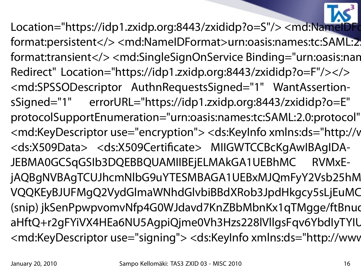Location="https://idp1.zxidp.org:8443/zxididp?o=S"/> <md:NameID format:persistent</><md:NameIDFormat>urn:oasis:names:tc:SAML:2 format:transient</> <md:SingleSignOnService Binding="urn:oasis:nan Redirect" Location="https://idp1.zxidp.org:8443/zxididp?o=F"/></> <md:SPSSODescriptor AuthnRequestsSigned="1" WantAssertionsSigned="1" errorURL="https://idp1.zxidp.org:8443/zxididp?o=E" protocolSupportEnumeration="urn:oasis:names:tc:SAML:2.0:protocol" <md:KeyDescriptor use="encryption"> <ds:KeyInfo xmlns:ds="http://v <ds:X509Data> <ds:X509Certificate> MIIGWTCCBcKgAwIBAgIDA-JEBMA0GCSqGSIb3DQEBBQUAMIIBEjELMAkGA1UEBhMC RVMxEjAQBgNVBAgTCUJhcmNlbG9uYTESMBAGA1UEBxMJQmFyY2Vsb25hM VQQKEyBJUFMgQ2VydGlmaWNhdGlvbiBBdXRob3JpdHkgcy5sLjEuMC (snip) jkSenPpwpvomvNfp4G0WJdavd7KnZBbMbnKx1qTMgge/ftBnud aHftQ+r2gFYiVX4HEa6NU5AgpiQjme0Vh3Hzs228lVllgsFqv6YbdlyTYIU <md:KeyDescriptor use="signing"> <ds:KeyInfo xmlns:ds="http://www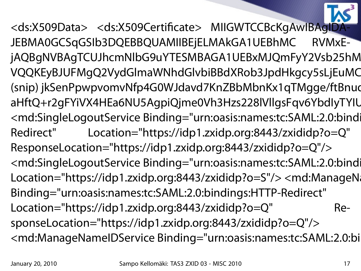<ds:X509Data> <ds:X509Certificate> MIIGWTCCBcKgAwIBAgID JEBMA0GCSqGSIb3DQEBBQUAMIIBEjELMAkGA1UEBhMC RVMxEjAQBgNVBAgTCUJhcmNlbG9uYTESMBAGA1UEBxMJQmFyY2Vsb25hM VQQKEyBJUFMgQ2VydGlmaWNhdGlvbiBBdXRob3JpdHkgcy5sLjEuMC (snip) jkSenPpwpvomvNfp4G0WJdavd7KnZBbMbnKx1qTMgge/ftBnud aHftQ+r2gFYiVX4HEa6NU5AgpiQjme0Vh3Hzs228lVllgsFqv6YbdlyTYIU <md:SingleLogoutService Binding="urn:oasis:names:tc:SAML:2.0:bindi Redirect" Location="https://idp1.zxidp.org:8443/zxididp?o=Q" ResponseLocation="https://idp1.zxidp.org:8443/zxididp?o=Q"/> <md:SingleLogoutService Binding="urn:oasis:names:tc:SAML:2.0:bindi Location="https://idp1.zxidp.org:8443/zxididp?o=S"/> <md:ManageNa Binding="urn:oasis:names:tc:SAML:2.0:bindings:HTTP-Redirect" Location="https://idp1.zxidp.org:8443/zxididp?o=Q" ResponseLocation="https://idp1.zxidp.org:8443/zxididp?o=Q"/> <md:ManageNameIDService Binding="urn:oasis:names:tc:SAML:2.0:bi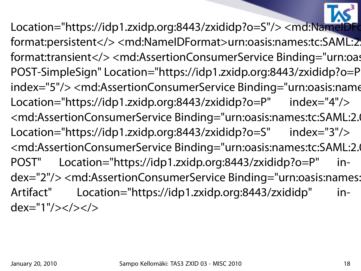Location="https://idp1.zxidp.org:8443/zxididp?o=S"/> <md:NameIDFo format:persistent</><md:NameIDFormat>urn:oasis:names:tc:SAML:2 format:transient</> <md:AssertionConsumerService Binding="urn:oas POST-SimpleSign" Location="https://idp1.zxidp.org:8443/zxididp?o=P" index="5"/> <md:AssertionConsumerService Binding="urn:oasis:name Location="https://idp1.zxidp.org:8443/zxididp?o=P" index="4"/> <md:AssertionConsumerService Binding="urn:oasis:names:tc:SAML:2.0 Location="https://idp1.zxidp.org:8443/zxididp?o=S" index="3"/> <md:AssertionConsumerService Binding="urn:oasis:names:tc:SAML:2.0 POST" Location="https://idp1.zxidp.org:8443/zxididp?o=P" index="2"/> <md:AssertionConsumerService Binding="urn:oasis:names: Artifact" Location="https://idp1.zxidp.org:8443/zxididp" index="1"/></></>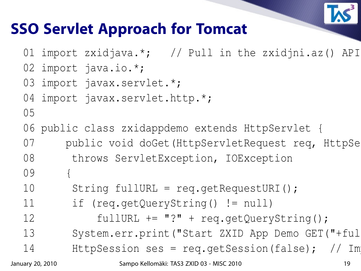

#### **SSO Servlet Approach for Tomcat**

```
01 import zxidjava.*; // Pull in the zxidjni.az() API
```
02 import java.io.\*;

```
03 import javax.servlet.*;
```
04 import javax.servlet.http.\*;

```
05
```
- 06 public class zxidappdemo extends HttpServlet {
- 07 public void doGet (HttpServletRequest req, HttpSe
- 08 throws ServletException, IOException
- 09 {
- 10 String fullURL = req.getRequestURI();
- 11 if (req.getQueryString() != null)
- 12 fullURL += "?" + req.getQueryString();
- 13 System.err.print("Start ZXID App Demo GET("+ful
- 14 HttpSession ses = req.qetSession(false);  $// Im$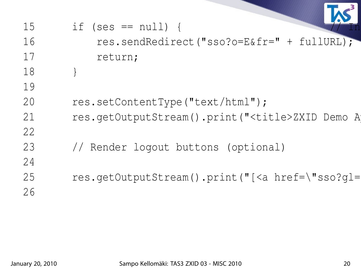| 15 | if (ses $== null)$ {                                           |
|----|----------------------------------------------------------------|
| 16 | res.sendRedirect("sso?o=E&fr=" + fullURL);                     |
| 17 | return;                                                        |
| 18 |                                                                |
| 19 |                                                                |
| 20 | res.setContentType("text/html");                               |
| 21 | res.getOutputStream().print(" <title>ZXID Demo A</title>       |
| 22 |                                                                |
| 23 | // Render logout buttons (optional)                            |
| 24 |                                                                |
| 25 | res.getOutputStream().print("[ <a href='\"sso?gl=&lt;/td'></a> |
| 26 |                                                                |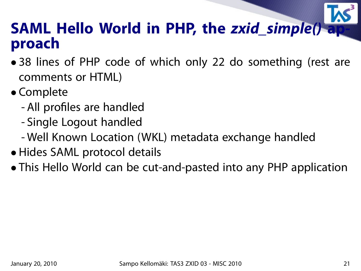#### **SAML Hello World in PHP, the zxid\_simple() approach**

- 38 lines of PHP code of which only 22 do something (rest are comments or HTML)
- Complete
	- All profiles are handled
	- Single Logout handled
	- Well Known Location (WKL) metadata exchange handled
- Hides SAML protocol details
- This Hello World can be cut-and-pasted into any PHP application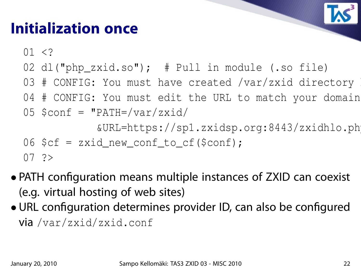## **Initialization once**

 $01 < ?$ 

- 02 dl("php\_zxid.so"); # Pull in module (.so file)
- 03 # CONFIG: You must have created /var/zxid directory
- 04 # CONFIG: You must edit the URL to match your domain

$$
05
$$
  $\text{Sconf} = \text{``PATH='var/zxid/}$ 

&URL=https://sp1.zxidsp.org:8443/zxidhlo.php";

$$
06
$$
 \$cf = zxid\_new\_cond\_to\_cf (\$conf);

$$
07 \quad ?>
$$

- PATH configuration means multiple instances of ZXID can coexist (e.g. virtual hosting of web sites)
- URL configuration determines provider ID, can also be configured via /var/zxid/zxid.conf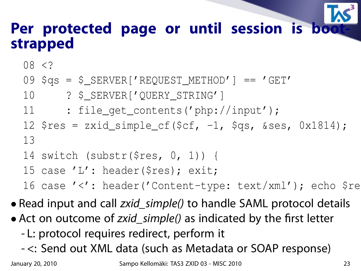#### Per protected page or until session is bo **strapped**

08 <?

- 09 \$qs = \$\_SERVER['REQUEST\_METHOD'] == 'GET'
- 10 ? \$\_SERVER['QUERY\_STRING']
- 11 : file\_get\_contents('php://input');
- 12  $\frac{12 \text{ } \text{S} \text{res} = \text{zxid\_simple\_cf}(\text{Scf}, -1, \text{Sqs}, \text{Sses}, 0 \text{x} 1814);$ 13
- 14 switch (substr(\$res, 0, 1)) {
- 15 case 'L': header(\$res); exit;

16 case '<': header('Content-type: text/xml'); echo \$re

• Read input and call *zxid\_simple()* to handle SAML protocol details

- Act on outcome of *zxid\_simple()* as indicated by the first letter
	- L: protocol requires redirect, perform it
	- <: Send out XML data (such as Metadata or SOAP response)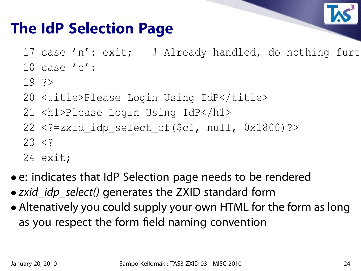

#### **The IdP Selection Page**

- 17 case 'n': exit; # Already handled, do nothing furt
- 18 case 'e':
- 19 ?>
- 20 <title>Please Login Using IdP</title>
- 21 <h1>Please Login Using IdP</h1>
- 22 <?=zxid\_idp\_select\_cf(\$cf, null, 0x1800)?>  $23 < ?$
- 24 exit;
- e: indicates that IdP Selection page needs to be rendered
- zxid\_idp\_select() generates the ZXID standard form
- Altenatively you could supply your own HTML for the form as long as you respect the form field naming convention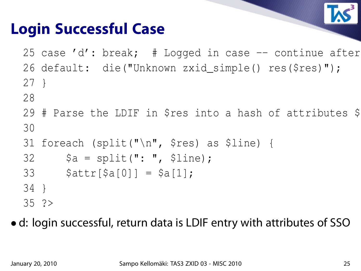

## **Login Successful Case**

25 case 'd': break;  $#$  Logged in case  $--$  continue after 26 default: die("Unknown zxid\_simple() res(\$res)"); 27 }

- 28
- 29 # Parse the LDIF in \$res into a hash of attributes \$ 30
- 31 foreach (split("\n", \$res) as \$line) {
- $32$   $$a = split(": ", 5line);$
- 33  $$attr[$a[0]] = $a[1];$
- 34 }
- 35 ?>

• d: login successful, return data is LDIF entry with attributes of SSO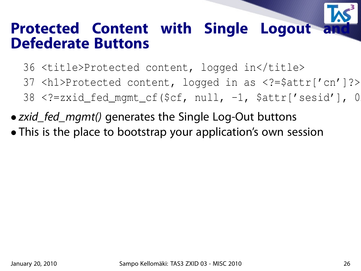# **Protected Content with Single Logout Defederate Buttons**

- 36 <title>Protected content, logged in</title>
- 37 <h1>Protected content, logged in as <?=\$attr['cn']?></h1>
- $38$  <?=zxid\_fed\_mgmt\_cf(\$cf, null, -1, \$attr['sesid'], 0
- *zxid\_fed\_mgmt()* generates the Single Log-Out buttons
- This is the place to bootstrap your application's own session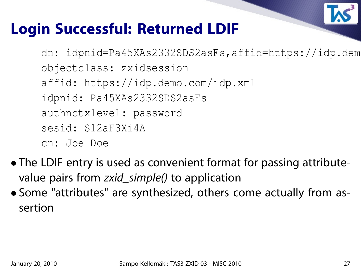

#### **Login Successful: Returned LDIF**

dn: idpnid=Pa45XAs2332SDS2asFs,affid=https://idp.dem objectclass: zxidsession affid: https://idp.demo.com/idp.xml idpnid: Pa45XAs2332SDS2asFs authnctxlevel: password sesid: S12aF3Xi4A cn: Joe Doe

- The LDIF entry is used as convenient format for passing attributevalue pairs from zxid\_simple() to application
- Some "attributes" are synthesized, others come actually from assertion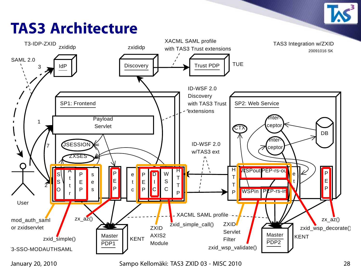## **TAS3 Architecture**

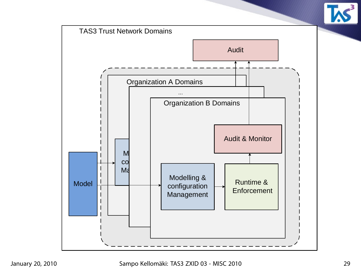

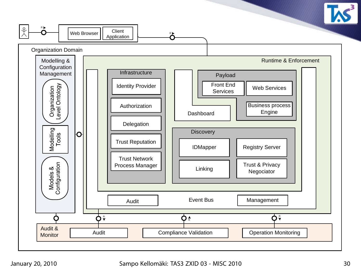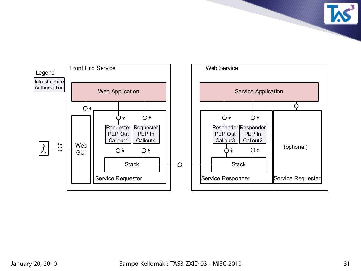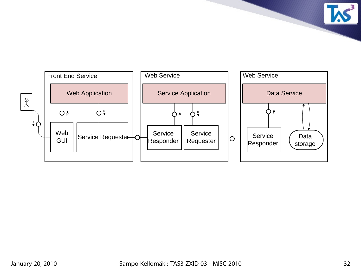

**TAS**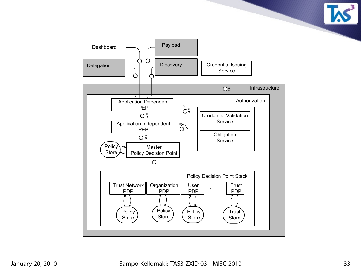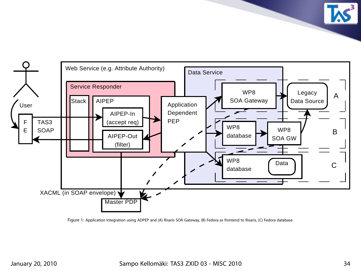Service Responder TAS3 SOAP **Stack** Master PDP XACML (in SOAP envelope) Web Service (e.g. Attribute Authority) Data Service User F E AIPEP-In (accept req) AIPEP-Out (filter) AIPEP Application Dependent PEP Legacy Data Source Data A B C WP8 SOA Gateway WP8 SOA GW WP8 database WP8 database

Figure 1: Application Integration using ADPEP and (A) Risaris SOA Gateway, (B) Fedora as frontend to Risaris, (C) Fedora database.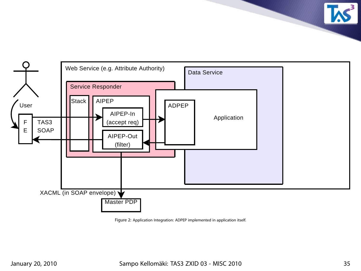

Figure 2: Application Integration: ADPEP implemented in application itself.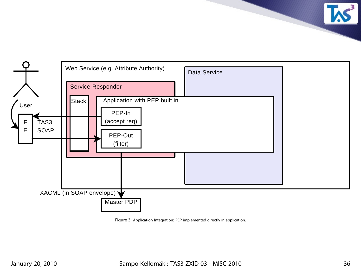

Figure 3: Application Integration: PEP implemented directly in application.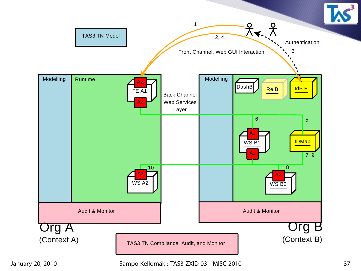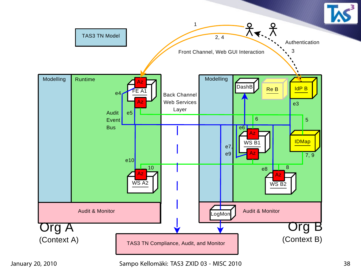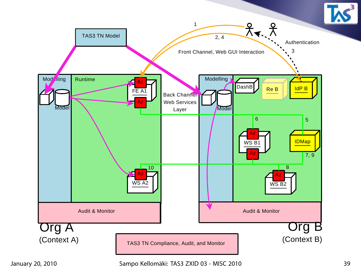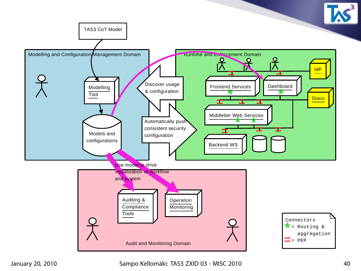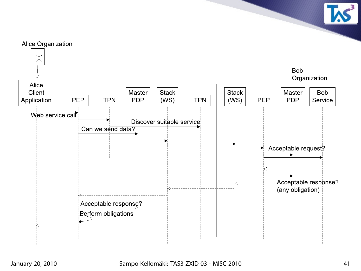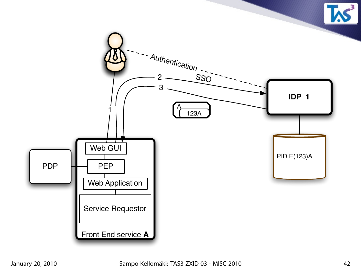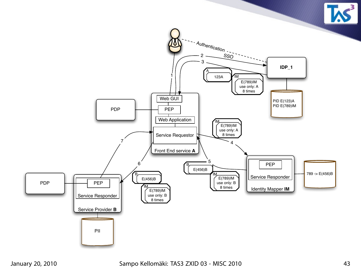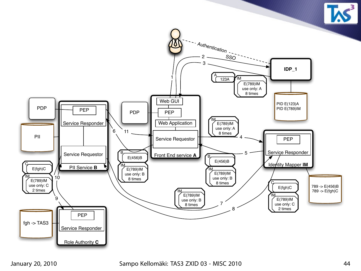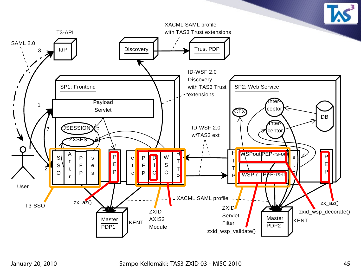

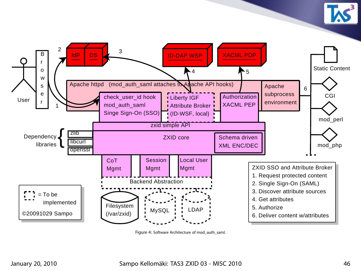



Figure 4: Software Architecture of mod\_auth\_saml.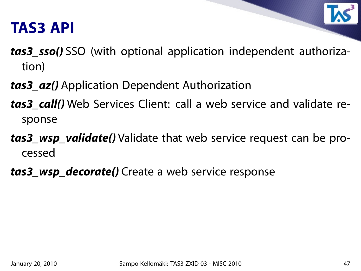#### **TAS3 API**



- **tas3\_sso()** SSO (with optional application independent authorization)
- **tas3\_az()** Application Dependent Authorization
- **tas3 call()** Web Services Client: call a web service and validate response
- **tas3\_wsp\_validate()** Validate that web service request can be processed
- **tas3\_wsp\_decorate()** Create a web service response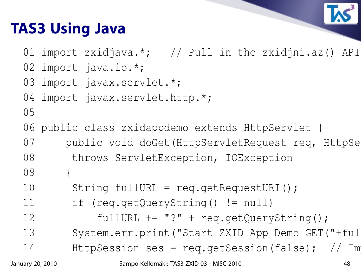# **TAS3 Using Java**



01 import zxidjava.\*; // Pull in the zxidjni.az() API

02 import java.io.\*;

```
03 import javax.servlet.*;
```
04 import javax.servlet.http.\*;

```
05
```
- 06 public class zxidappdemo extends HttpServlet {
- 07 public void doGet(HttpServletRequest req, HttpSe
- 08 throws ServletException, IOException
- 09 {
- 10 String fullURL = req.getRequestURI();
- 11 if (req.getQueryString() != null)
- 12 fullURL += "?" + req.getQueryString();
- 13 System.err.print("Start ZXID App Demo GET("+ful
- 14 HttpSession ses = req.qetSession(false);  $// Im$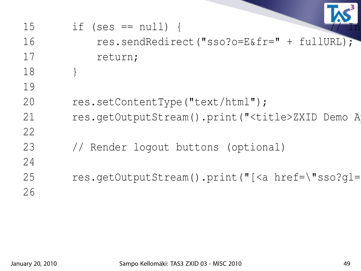| 15 | if (ses $== null)$ {                                           |
|----|----------------------------------------------------------------|
| 16 | res.sendRedirect("sso?o=E&fr=" + fullURL);                     |
| 17 | return;                                                        |
| 18 |                                                                |
| 19 |                                                                |
| 20 | res.setContentType("text/html");                               |
| 21 | res.getOutputStream().print(" <title>ZXID Demo A</title>       |
| 22 |                                                                |
| 23 | // Render logout buttons (optional)                            |
| 24 |                                                                |
| 25 | res.getOutputStream().print("[ <a href='\"sso?gl=&lt;/td'></a> |
| 26 |                                                                |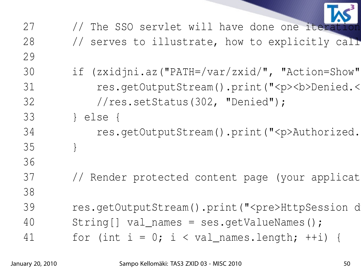| 27 | // The SSO servlet will have done one iterat            |
|----|---------------------------------------------------------|
| 28 | // serves to illustrate, how to explicitly call         |
| 29 |                                                         |
| 30 | if (zxidjni.az("PATH=/var/zxid/", "Action=Show"         |
| 31 | res.getOutputStream().print(" <p><b>Denied.&lt;</b></p> |
| 32 | //res.setStatus(302, "Denied");                         |
| 33 | else                                                    |
| 34 | res.getOutputStream().print(" <p>Authorized.</p>        |
| 35 |                                                         |
| 36 |                                                         |
| 37 | // Render protected content page (your applicat         |
| 38 |                                                         |
| 39 | res.getOutputStream().print(" <pre>HttpSession d</pre>  |
| 40 | $String[] val_names = ses.getValues()$                  |
| 41 | for (int $i = 0$ ; i < val_names.length; ++i) {         |
|    |                                                         |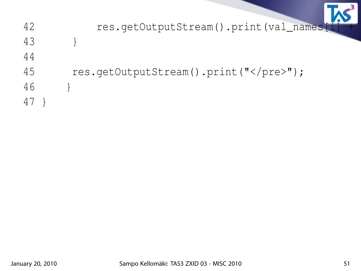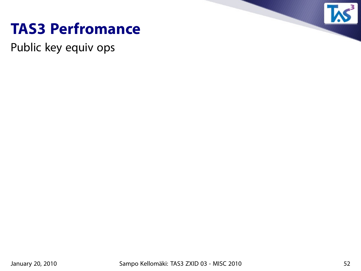

#### **TAS3 Perfromance**

Public key equiv ops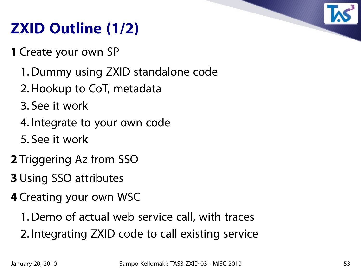# **ZXID Outline (1/2)**

**1** Create your own SP

- 1. Dummy using ZXID standalone code
- 2. Hookup to CoT, metadata
- 3. See it work
- 4. Integrate to your own code
- 5. See it work
- **2** Triggering Az from SSO
- **3** Using SSO attributes
- **4** Creating your own WSC
	- 1. Demo of actual web service call, with traces
	- 2. Integrating ZXID code to call existing service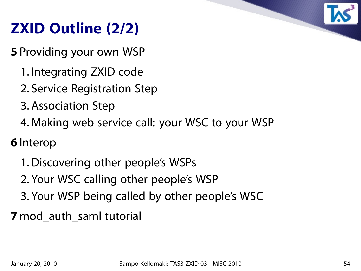

# **ZXID Outline (2/2)**

**5** Providing your own WSP

- 1. Integrating ZXID code
- 2. Service Registration Step
- 3. Association Step
- 4. Making web service call: your WSC to your WSP

**6** Interop

- 1. Discovering other people's WSPs
- 2. Your WSC calling other people's WSP
- 3. Your WSP being called by other people's WSC

**7** mod\_auth\_saml tutorial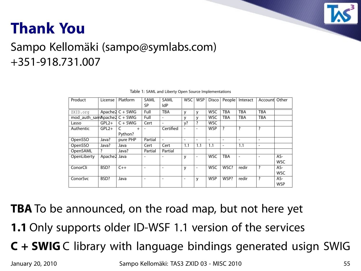

## **Thank You**

#### Sampo Kellomäki (sampo@symlabs.com) +351-918.731.007

| Product                      | License      | Platform            | SAML<br><b>SP</b>        | <b>SAML</b><br><b>IdP</b> | <b>WSC</b>               | <b>WSP</b>               | <b>Disco</b> | People                   | Interact                 | Account Other            |            |
|------------------------------|--------------|---------------------|--------------------------|---------------------------|--------------------------|--------------------------|--------------|--------------------------|--------------------------|--------------------------|------------|
| ZXID.org                     |              | Apache $2 C + SWIG$ | Full                     | <b>TBA</b>                | y                        | y                        | <b>WSC</b>   | TBA                      | <b>TBA</b>               | <b>TBA</b>               |            |
| mod_auth_samApache2 C + SWIG |              |                     | Full                     |                           | v                        | v                        | <b>WSC</b>   | TBA                      | <b>TBA</b>               | <b>TBA</b>               |            |
| Lasso                        | $GPL2+$      | $C + SWIG$          | Cert                     | $\overline{\phantom{a}}$  | $y$ ?                    | ?                        | <b>WSC</b>   |                          |                          |                          |            |
| Authentic                    | $GPL2+$      | $^{+}$              |                          | Certified                 |                          |                          | <b>WSP</b>   | $\overline{\cdot}$       | ?                        | ?                        |            |
|                              |              | Python?             |                          |                           |                          |                          |              |                          |                          |                          |            |
| OpenSSO                      | Java?        | pure PHP            | Partial                  | $\overline{\phantom{a}}$  | $\overline{\phantom{0}}$ | $\overline{\phantom{0}}$ |              | $\overline{\phantom{0}}$ | $\overline{\phantom{0}}$ | $\overline{\phantom{a}}$ |            |
| OpenSSO                      | Java?        | Java                | Cert                     | Cert                      | 1.1                      | 1.1                      | 1.1          | $\overline{\phantom{a}}$ | 1.1                      | $\overline{\phantom{a}}$ |            |
| OpenSAML                     | ?            | Java?               | Partial                  | Partial                   |                          |                          |              |                          |                          |                          |            |
| OpenLiberty                  | Apache2 Java |                     |                          |                           | У                        | $\overline{\phantom{a}}$ | <b>WSC</b>   | <b>TBA</b>               |                          | $\overline{\phantom{0}}$ | AS-        |
|                              |              |                     |                          |                           |                          |                          |              |                          |                          |                          | <b>WSC</b> |
| ConorCli                     | BSD?         | $C++$               | $\overline{\phantom{a}}$ | ۰                         | y                        | $\overline{\phantom{a}}$ | <b>WSC</b>   | WSC?                     | redir                    | $\overline{\cdot}$       | AS-        |
|                              |              |                     |                          |                           |                          |                          |              |                          |                          |                          | <b>WSC</b> |
| ConorSvc                     | BSD?         | Java                | $\overline{\phantom{0}}$ |                           |                          | y                        | <b>WSP</b>   | WSP?                     | redir                    | ?                        | AS-        |
|                              |              |                     |                          |                           |                          |                          |              |                          |                          |                          | <b>WSP</b> |

| Table 1: SAML and Liberty Open Source Implementations |  |  |
|-------------------------------------------------------|--|--|
|                                                       |  |  |

**TBA** To be announced, on the road map, but not here yet

- **1.1** Only supports older ID-WSF 1.1 version of the services
- **C + SWIG** C library with language bindings generated usign SWIG